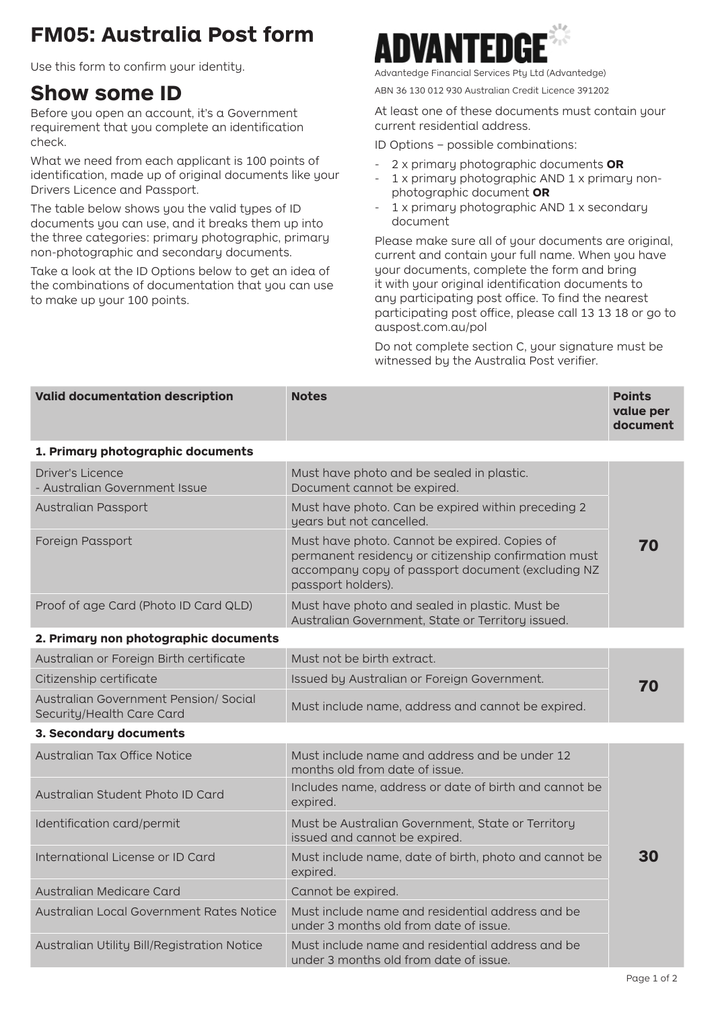## **FM05: Australia Post form**

Use this form to confirm your identity.<br>Advantedge Financial Services Pty Ltd (Advantedge)

## **Show some ID**

Before you open an account, it's a Government requirement that you complete an identification check.

What we need from each applicant is 100 points of identification, made up of original documents like your Drivers Licence and Passport.

The table below shows you the valid types of ID documents you can use, and it breaks them up into the three categories: primary photographic, primary non-photographic and secondary documents.

Take a look at the ID Options below to get an idea of the combinations of documentation that you can use to make up your 100 points.



ABN 36 130 012 930 Australian Credit Licence 391202

At least one of these documents must contain your current residential address.

ID Options – possible combinations:

- 2 x primary photographic documents **OR**
- 1 x primary photographic AND 1 x primary nonphotographic document **OR**
- 1 x primary photographic AND 1 x secondary document

Please make sure all of your documents are original, current and contain your full name. When you have your documents, complete the form and bring it with your original identification documents to any participating post office. To find the nearest participating post office, please call 13 13 18 or go to auspost.com.au/pol

Do not complete section C, your signature must be witnessed by the Australia Post verifier.

| <b>Valid documentation description</b>                             | <b>Notes</b>                                                                                                                                                                     | <b>Points</b><br>value per<br>document |
|--------------------------------------------------------------------|----------------------------------------------------------------------------------------------------------------------------------------------------------------------------------|----------------------------------------|
| 1. Primary photographic documents                                  |                                                                                                                                                                                  |                                        |
| <b>Driver's Licence</b><br>- Australian Government Issue           | Must have photo and be sealed in plastic.<br>Document cannot be expired.                                                                                                         |                                        |
| Australian Passport                                                | Must have photo. Can be expired within preceding 2<br>years but not cancelled.                                                                                                   |                                        |
| Foreign Passport                                                   | Must have photo. Cannot be expired. Copies of<br>permanent residency or citizenship confirmation must<br>accompany copy of passport document (excluding NZ<br>passport holders). | 70                                     |
| Proof of age Card (Photo ID Card QLD)                              | Must have photo and sealed in plastic. Must be<br>Australian Government, State or Territory issued.                                                                              |                                        |
| 2. Primary non photographic documents                              |                                                                                                                                                                                  |                                        |
| Australian or Foreign Birth certificate                            | Must not be birth extract.                                                                                                                                                       |                                        |
| Citizenship certificate                                            | Issued by Australian or Foreign Government.                                                                                                                                      | 70                                     |
| Australian Government Pension/ Social<br>Security/Health Care Card | Must include name, address and cannot be expired.                                                                                                                                |                                        |
| 3. Secondary documents                                             |                                                                                                                                                                                  |                                        |
| Australian Tax Office Notice                                       | Must include name and address and be under 12<br>months old from date of issue.                                                                                                  |                                        |
| Australian Student Photo ID Card                                   | Includes name, address or date of birth and cannot be<br>expired.                                                                                                                |                                        |
| Identification card/permit                                         | Must be Australian Government, State or Territory<br>issued and cannot be expired.                                                                                               |                                        |
| International License or ID Card                                   | Must include name, date of birth, photo and cannot be<br>expired.                                                                                                                | 30                                     |
| Australian Medicare Card                                           | Cannot be expired.                                                                                                                                                               |                                        |
| Australian Local Government Rates Notice                           | Must include name and residential address and be<br>under 3 months old from date of issue.                                                                                       |                                        |
| Australian Utility Bill/Registration Notice                        | Must include name and residential address and be<br>under 3 months old from date of issue.                                                                                       |                                        |